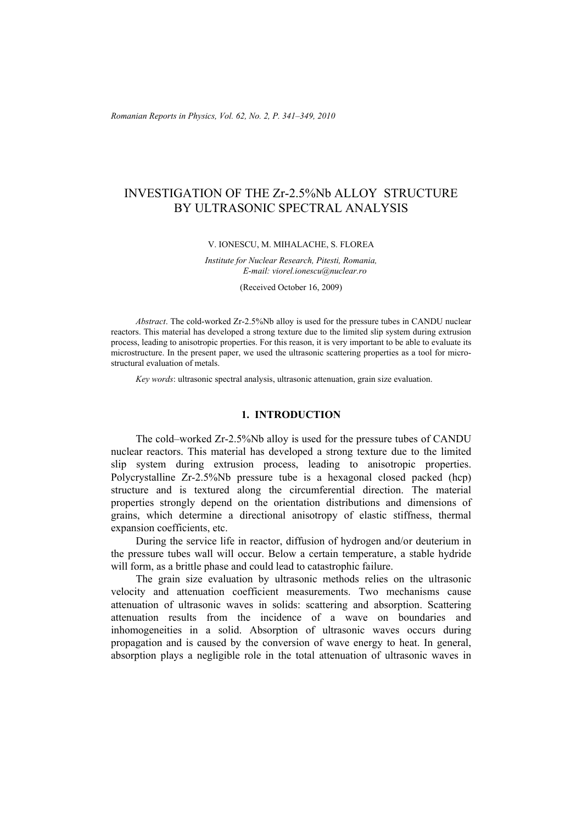*Romanian Reports in Physics, Vol. 62, No. 2, P. 341–349, 2010*

# INVESTIGATION OF THE Zr-2.5%Nb ALLOY STRUCTURE BY ULTRASONIC SPECTRAL ANALYSIS

#### V. IONESCU, M. MIHALACHE, S. FLOREA

*Institute for Nuclear Research, Pitesti, Romania, E-mail: viorel.ionescu@nuclear.ro* 

(Received October 16, 2009)

*Abstract*. The cold-worked Zr-2.5%Nb alloy is used for the pressure tubes in CANDU nuclear reactors. This material has developed a strong texture due to the limited slip system during extrusion process, leading to anisotropic properties. For this reason, it is very important to be able to evaluate its microstructure. In the present paper, we used the ultrasonic scattering properties as a tool for microstructural evaluation of metals.

*Key words*: ultrasonic spectral analysis, ultrasonic attenuation, grain size evaluation.

# **1. INTRODUCTION**

The cold–worked Zr-2.5%Nb alloy is used for the pressure tubes of CANDU nuclear reactors. This material has developed a strong texture due to the limited slip system during extrusion process, leading to anisotropic properties. Polycrystalline Zr-2.5%Nb pressure tube is a hexagonal closed packed (hcp) structure and is textured along the circumferential direction. The material properties strongly depend on the orientation distributions and dimensions of grains, which determine a directional anisotropy of elastic stiffness, thermal expansion coefficients, etc.

During the service life in reactor, diffusion of hydrogen and/or deuterium in the pressure tubes wall will occur. Below a certain temperature, a stable hydride will form, as a brittle phase and could lead to catastrophic failure.

The grain size evaluation by ultrasonic methods relies on the ultrasonic velocity and attenuation coefficient measurements. Two mechanisms cause attenuation of ultrasonic waves in solids: scattering and absorption. Scattering attenuation results from the incidence of a wave on boundaries and inhomogeneities in a solid. Absorption of ultrasonic waves occurs during propagation and is caused by the conversion of wave energy to heat. In general, absorption plays a negligible role in the total attenuation of ultrasonic waves in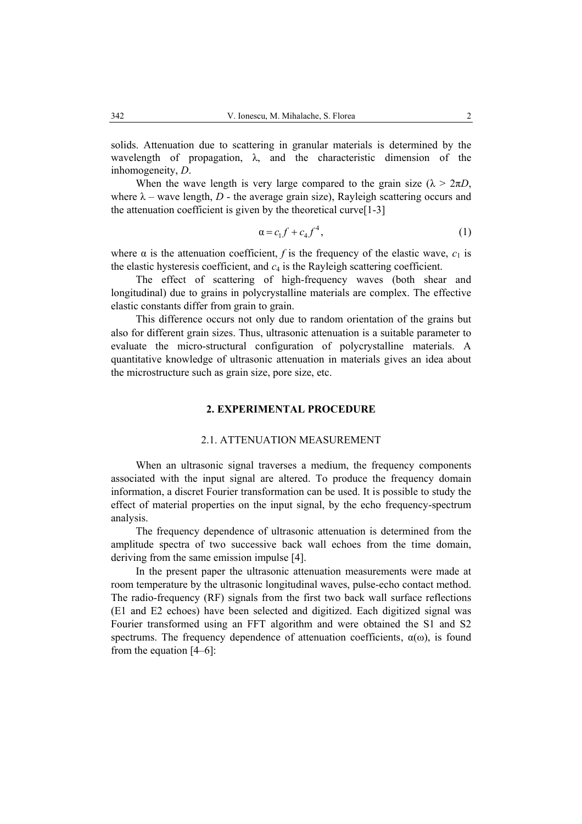solids. Attenuation due to scattering in granular materials is determined by the wavelength of propagation,  $\lambda$ , and the characteristic dimension of the inhomogeneity, *D*.

When the wave length is very large compared to the grain size ( $\lambda > 2\pi D$ , where  $\lambda$  – wave length,  $D$  - the average grain size), Rayleigh scattering occurs and the attenuation coefficient is given by the theoretical curve $[1-3]$ 

$$
\alpha = c_1 f + c_4 f^4,\tag{1}
$$

where  $\alpha$  is the attenuation coefficient, *f* is the frequency of the elastic wave,  $c_1$  is the elastic hysteresis coefficient, and *c*4 is the Rayleigh scattering coefficient.

The effect of scattering of high-frequency waves (both shear and longitudinal) due to grains in polycrystalline materials are complex. The effective elastic constants differ from grain to grain.

This difference occurs not only due to random orientation of the grains but also for different grain sizes. Thus, ultrasonic attenuation is a suitable parameter to evaluate the micro-structural configuration of polycrystalline materials. A quantitative knowledge of ultrasonic attenuation in materials gives an idea about the microstructure such as grain size, pore size, etc.

#### **2. EXPERIMENTAL PROCEDURE**

#### 2.1. ATTENUATION MEASUREMENT

When an ultrasonic signal traverses a medium, the frequency components associated with the input signal are altered. To produce the frequency domain information, a discret Fourier transformation can be used. It is possible to study the effect of material properties on the input signal, by the echo frequency-spectrum analysis.

The frequency dependence of ultrasonic attenuation is determined from the amplitude spectra of two successive back wall echoes from the time domain, deriving from the same emission impulse [4].

In the present paper the ultrasonic attenuation measurements were made at room temperature by the ultrasonic longitudinal waves, pulse-echo contact method. The radio-frequency (RF) signals from the first two back wall surface reflections (E1 and E2 echoes) have been selected and digitized. Each digitized signal was Fourier transformed using an FFT algorithm and were obtained the S1 and S2 spectrums. The frequency dependence of attenuation coefficients,  $\alpha(\omega)$ , is found from the equation [4–6]: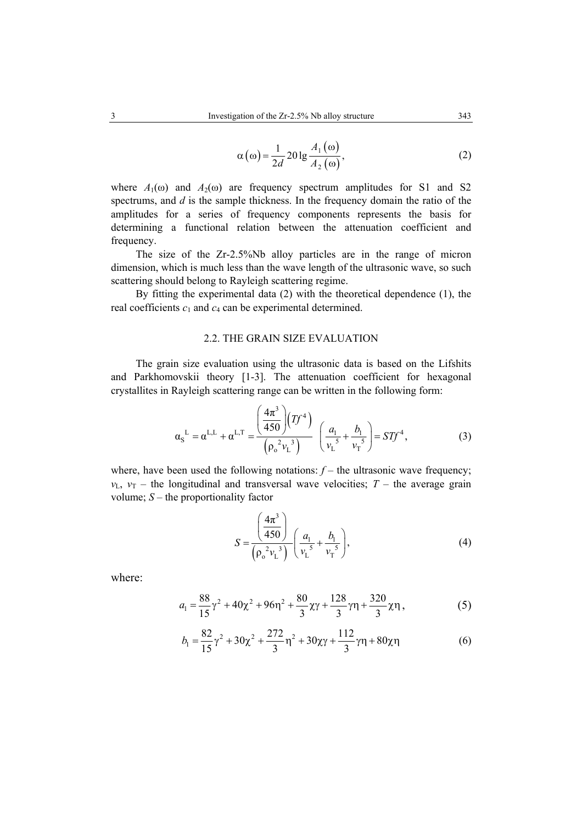$$
\alpha(\omega) = \frac{1}{2d} 20 \lg \frac{A_1(\omega)}{A_2(\omega)},
$$
\n(2)

where  $A_1(\omega)$  and  $A_2(\omega)$  are frequency spectrum amplitudes for S1 and S2 spectrums, and *d* is the sample thickness. In the frequency domain the ratio of the amplitudes for a series of frequency components represents the basis for determining a functional relation between the attenuation coefficient and frequency.

The size of the Zr-2.5%Nb alloy particles are in the range of micron dimension, which is much less than the wave length of the ultrasonic wave, so such scattering should belong to Rayleigh scattering regime.

By fitting the experimental data (2) with the theoretical dependence (1), the real coefficients  $c_1$  and  $c_4$  can be experimental determined.

# 2.2. THE GRAIN SIZE EVALUATION

The grain size evaluation using the ultrasonic data is based on the Lifshits and Parkhomovskii theory [1-3]. The attenuation coefficient for hexagonal crystallites in Rayleigh scattering range can be written in the following form:

$$
\alpha_{\rm S}^{\rm L} = \alpha^{\rm L,L} + \alpha^{\rm L,T} = \frac{\left(\frac{4\pi^3}{450}\right)(Tf^4)}{\left(\rho_{\rm o}^2 v_{\rm L}^3\right)} \left(\frac{a_{\rm l}}{v_{\rm L}^5} + \frac{b_{\rm l}}{v_{\rm T}^5}\right) = STf^4,\tag{3}
$$

where, have been used the following notations:  $f$  – the ultrasonic wave frequency;  $v_{\text{L}}$ ,  $v_{\text{T}}$  – the longitudinal and transversal wave velocities; *T* – the average grain volume; *S* – the proportionality factor

$$
S = \frac{\left(\frac{4\pi^3}{450}\right)}{\left(\rho_o^2 v_L^3\right)} \left(\frac{a_1}{v_L^5} + \frac{b_1}{v_T^5}\right),\tag{4}
$$

where:

$$
a_1 = \frac{88}{15}\gamma^2 + 40\chi^2 + 96\eta^2 + \frac{80}{3}\chi\gamma + \frac{128}{3}\gamma\eta + \frac{320}{3}\chi\eta\,,\tag{5}
$$

$$
b_1 = \frac{82}{15}\gamma^2 + 30\chi^2 + \frac{272}{3}\eta^2 + 30\chi\gamma + \frac{112}{3}\gamma\eta + 80\chi\eta
$$
 (6)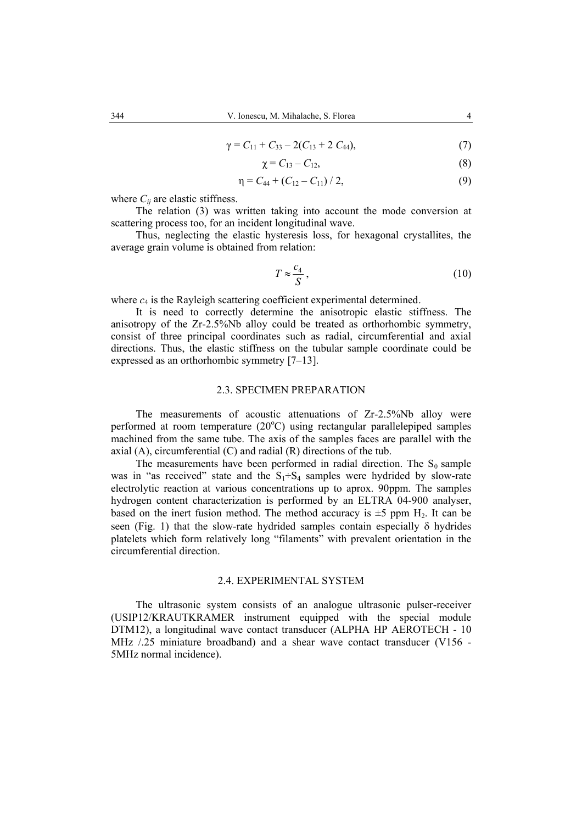$$
\gamma = C_{11} + C_{33} - 2(C_{13} + 2 C_{44}), \tag{7}
$$

$$
\chi = C_{13} - C_{12},\tag{8}
$$

$$
\eta = C_{44} + (C_{12} - C_{11}) / 2, \tag{9}
$$

where  $C_{ii}$  are elastic stiffness.

The relation (3) was written taking into account the mode conversion at scattering process too, for an incident longitudinal wave.

Thus, neglecting the elastic hysteresis loss, for hexagonal crystallites, the average grain volume is obtained from relation:

$$
T \approx \frac{c_4}{S} \,,\tag{10}
$$

where  $c_4$  is the Rayleigh scattering coefficient experimental determined.

It is need to correctly determine the anisotropic elastic stiffness. The anisotropy of the Zr-2.5%Nb alloy could be treated as orthorhombic symmetry, consist of three principal coordinates such as radial, circumferential and axial directions. Thus, the elastic stiffness on the tubular sample coordinate could be expressed as an orthorhombic symmetry [7–13].

### 2.3. SPECIMEN PREPARATION

The measurements of acoustic attenuations of Zr-2.5%Nb alloy were performed at room temperature (20°C) using rectangular parallelepiped samples machined from the same tube. The axis of the samples faces are parallel with the axial (A), circumferential (C) and radial (R) directions of the tub.

The measurements have been performed in radial direction. The  $S_0$  sample was in "as received" state and the  $S_1 \div S_4$  samples were hydrided by slow-rate electrolytic reaction at various concentrations up to aprox. 90ppm. The samples hydrogen content characterization is performed by an ELTRA 04-900 analyser, based on the inert fusion method. The method accuracy is  $\pm 5$  ppm H<sub>2</sub>. It can be seen (Fig. 1) that the slow-rate hydrided samples contain especially δ hydrides platelets which form relatively long "filaments" with prevalent orientation in the circumferential direction.

#### 2.4. EXPERIMENTAL SYSTEM

The ultrasonic system consists of an analogue ultrasonic pulser-receiver (USIP12/KRAUTKRAMER instrument equipped with the special module DTM12), a longitudinal wave contact transducer (ALPHA HP AEROTECH - 10 MHz  $/25$  miniature broadband) and a shear wave contact transducer (V156 -5MHz normal incidence).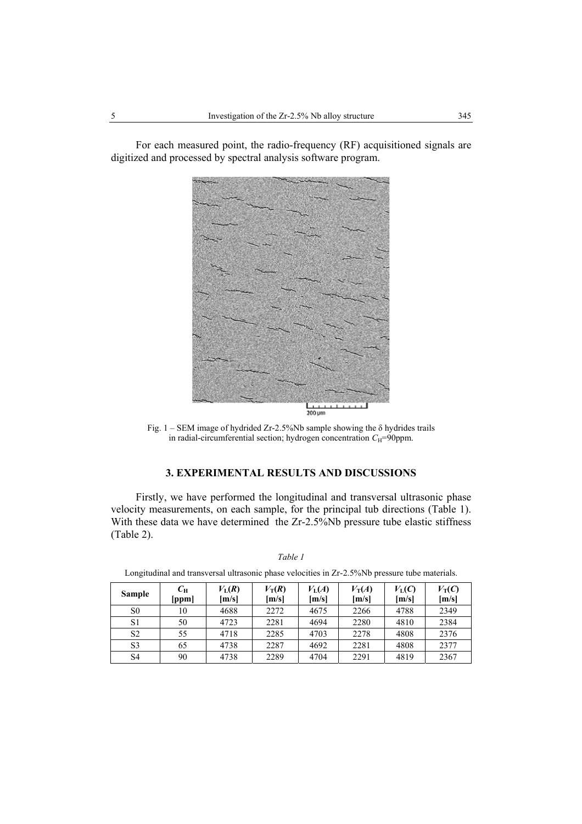For each measured point, the radio-frequency (RF) acquisitioned signals are digitized and processed by spectral analysis software program.



Fig.  $1 - SEM$  image of hydrided Zr-2.5%Nb sample showing the  $\delta$  hydrides trails in radial-circumferential section; hydrogen concentration  $C_H$ =90ppm.

# **3. EXPERIMENTAL RESULTS AND DISCUSSIONS**

Firstly, we have performed the longitudinal and transversal ultrasonic phase velocity measurements, on each sample, for the principal tub directions (Table 1). With these data we have determined the Zr-2.5%Nb pressure tube elastic stiffness (Table 2).

| <b>Sample</b>  | $C_{\rm H}$<br>[ppm] | $V_{\rm L}(R)$<br>[m/s] | $V_T(R)$<br>[m/s] | $V_{\rm L}(A)$<br>[m/s] | $V_T(A)$<br>[m/s] | $V_{\rm L}(C)$<br>[m/s] | $V_T(C)$<br>[m/s] |
|----------------|----------------------|-------------------------|-------------------|-------------------------|-------------------|-------------------------|-------------------|
| S <sub>0</sub> | 10                   | 4688                    | 2272              | 4675                    | 2266              | 4788                    | 2349              |
| S <sub>1</sub> | 50                   | 4723                    | 2281              | 4694                    | 2280              | 4810                    | 2384              |
| S <sub>2</sub> | 55                   | 4718                    | 2285              | 4703                    | 2278              | 4808                    | 2376              |
| S <sub>3</sub> | 65                   | 4738                    | 2287              | 4692                    | 2281              | 4808                    | 2377              |
| S4             | 90                   | 4738                    | 2289              | 4704                    | 2291              | 4819                    | 2367              |

*Table 1*  Longitudinal and transversal ultrasonic phase velocities in Zr-2.5%Nb pressure tube materials.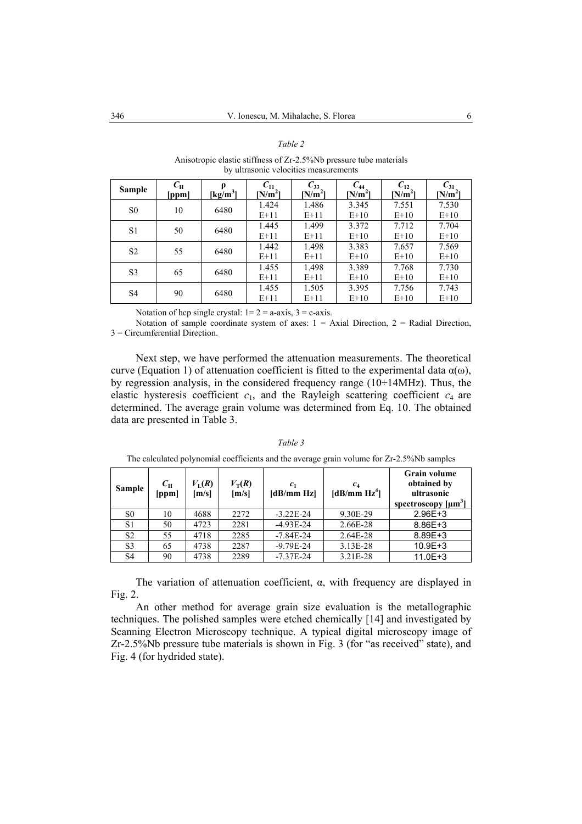#### *Table 2*

Anisotropic elastic stiffness of Zr-2.5%Nb pressure tube materials by ultrasonic velocities measurements

| Sample         | $C_{\rm H}$<br>[ppm] | p<br>$\lfloor \underline{\mathbf{k}} \underline{\mathbf{g}} / m^3 \rfloor$ | $C_{11}$<br>$[N/m^2]$ | $C_{33}$<br>$[N/m^2]$ | $C_{44}$<br>$[N/m^2]$ | $C_{12}$<br>$[N/m^2]$ | $C_{31}$<br>$[N/m^2]$ |
|----------------|----------------------|----------------------------------------------------------------------------|-----------------------|-----------------------|-----------------------|-----------------------|-----------------------|
| S <sub>0</sub> | 10                   | 6480                                                                       | 1.424                 | 1.486                 | 3.345                 | 7.551                 | 7.530                 |
|                |                      |                                                                            | $E+11$                | $E+11$                | $E+10$                | $E+10$                | $E+10$                |
| S <sub>1</sub> | 50                   | 6480                                                                       | 1.445                 | 1.499                 | 3.372                 | 7.712                 | 7.704                 |
|                |                      |                                                                            | $E+11$                | $E+11$                | $E+10$                | $E+10$                | $E+10$                |
| S <sub>2</sub> | 55                   | 6480                                                                       | 1.442                 | 1.498                 | 3.383                 | 7.657                 | 7.569                 |
|                |                      |                                                                            | $E+11$                | $E+11$                | $E+10$                | $E+10$                | $E+10$                |
| S <sub>3</sub> | 65                   | 6480                                                                       | 1.455                 | 1.498                 | 3.389                 | 7.768                 | 7.730                 |
|                |                      |                                                                            | $E+11$                | $E+11$                | $E+10$                | $E+10$                | $E+10$                |
| S4             | 90                   | 6480                                                                       | 1.455                 | 1.505                 | 3.395                 | 7.756                 | 7.743                 |
|                |                      |                                                                            | $E+11$                | $E+11$                | $E+10$                | $E+10$                | $E+10$                |

Notation of hcp single crystal:  $1=2 = a-axis$ ,  $3 = c-axis$ .

Notation of sample coordinate system of axes:  $1 = Axial$  Direction,  $2 = Radial$  Direction, 3 = Circumferential Direction.

Next step, we have performed the attenuation measurements. The theoretical curve (Equation 1) of attenuation coefficient is fitted to the experimental data  $\alpha(\omega)$ , by regression analysis, in the considered frequency range (10÷14MHz). Thus, the elastic hysteresis coefficient  $c_1$ , and the Rayleigh scattering coefficient  $c_4$  are determined. The average grain volume was determined from Eq. 10. The obtained data are presented in Table 3.

| <b>Sample</b>  | $C_{\rm H}$<br>[ppm] | $V_{\rm L}(R)$<br>[m/s] | $V_T(R)$<br>[m/s] | c <sub>1</sub><br>[dB/mm Hz] | $c_4$<br>[dB/mm Hz <sup>4</sup> ] | <b>Grain volume</b><br>obtained by<br>ultrasonic<br>spectroscopy $[\mu m^3]$ |
|----------------|----------------------|-------------------------|-------------------|------------------------------|-----------------------------------|------------------------------------------------------------------------------|
| S <sub>0</sub> | 10                   | 4688                    | 2272              | $-3.22E - 24$                | 9.30E-29                          | $2.96E + 3$                                                                  |
| S1             | 50                   | 4723                    | 2281              | $-4.93E-24$                  | 2.66E-28                          | 8.86E+3                                                                      |
| S <sub>2</sub> | 55                   | 4718                    | 2285              | $-7.84E - 24$                | 2.64E-28                          | 8.89E+3                                                                      |
| S <sub>3</sub> | 65                   | 4738                    | 2287              | $-9.79E - 24$                | 3.13E-28                          | $10.9E + 3$                                                                  |
| S4             | 90                   | 4738                    | 2289              | $-7.37E - 24$                | 3.21E-28                          | $11.0E + 3$                                                                  |

*Table 3*  The calculated polynomial coefficients and the average grain volume for Zr-2.5%Nb samples

The variation of attenuation coefficient,  $\alpha$ , with frequency are displayed in Fig. 2.

An other method for average grain size evaluation is the metallographic techniques. The polished samples were etched chemically [14] and investigated by Scanning Electron Microscopy technique. A typical digital microscopy image of Zr-2.5%Nb pressure tube materials is shown in Fig. 3 (for "as received" state), and Fig. 4 (for hydrided state).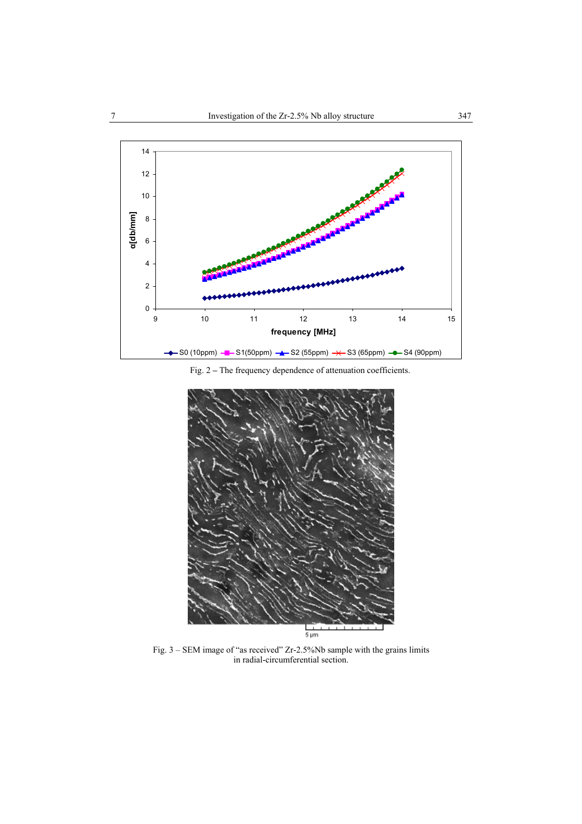

Fig. 2 **–** The frequency dependence of attenuation coefficients.



Fig. 3 – SEM image of "as received" Zr-2.5%Nb sample with the grains limits in radial-circumferential section.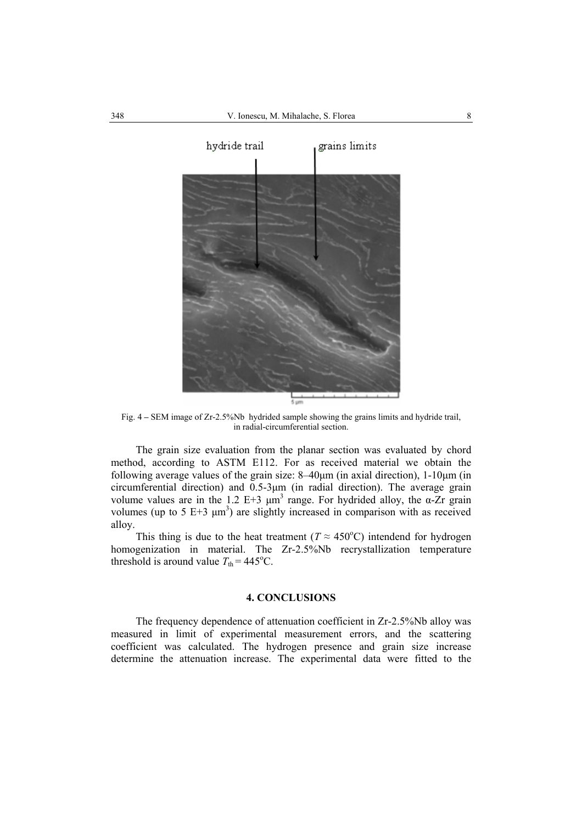

Fig. 4 **–** SEM image of Zr-2.5%Nb hydrided sample showing the grains limits and hydride trail, in radial-circumferential section.

The grain size evaluation from the planar section was evaluated by chord method, according to ASTM E112. For as received material we obtain the following average values of the grain size:  $8-40\mu$ m (in axial direction),  $1-10\mu$ m (in circumferential direction) and 0.5-3µm (in radial direction). The average grain volume values are in the 1.2 E+3  $\mu$ m<sup>3</sup> range. For hydrided alloy, the α-Zr grain volumes (up to 5 E+3  $\mu$ m<sup>3</sup>) are slightly increased in comparison with as received alloy.

This thing is due to the heat treatment ( $T \approx 450^{\circ}$ C) intendend for hydrogen homogenization in material. The Zr-2.5%Nb recrystallization temperature threshold is around value  $T_{\text{th}} = 445^{\circ}$ C.

## **4. CONCLUSIONS**

The frequency dependence of attenuation coefficient in Zr-2.5%Nb alloy was measured in limit of experimental measurement errors, and the scattering coefficient was calculated. The hydrogen presence and grain size increase determine the attenuation increase. The experimental data were fitted to the